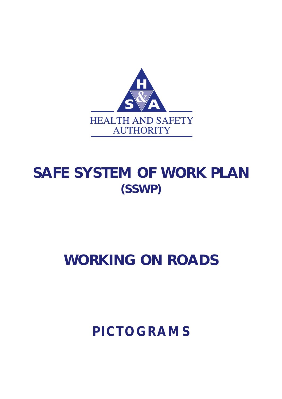

# **WORKING ON ROADS**

*PICTOGRAMS*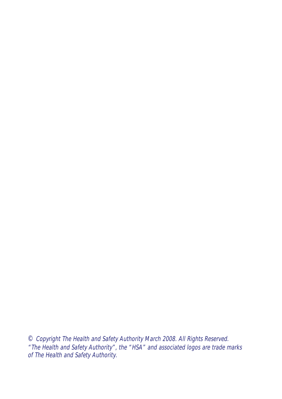© Copyright The Health and Safety Authority March 2008. All Rights Reserved. "The Health and Safety Authority", the "HSA" and associated logos are trade marks of The Health and Safety Authority.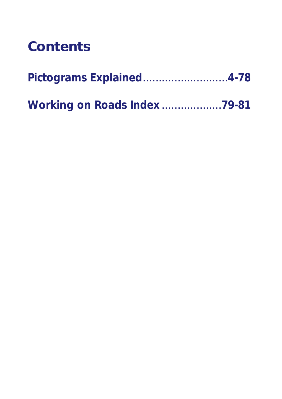# **Contents**

| Pictograms Explained4-78            |  |
|-------------------------------------|--|
| <b>Working on Roads Index 79-81</b> |  |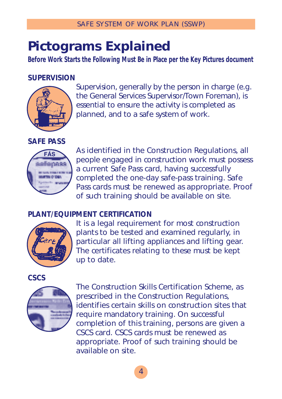# **Pictograms Explained**

*Before Work Starts the Following Must Be in Place per the Key Pictures document*

# **SUPERVISION**



Supervision, generally by the person in charge (e.g. the General Services Supervisor/Town Foreman), is essential to ensure the activity is completed as planned, and to a safe system of work.

**SAFE PASS**



As identified in the Construction Regulations, all people engaged in construction work must possess a current Safe Pass card, having successfully completed the one-day safe-pass training. Safe Pass cards must be renewed as appropriate. Proof of such training should be available on site.

# **PLANT/EQUIPMENT CERTIFICATION**



It is a legal requirement for most construction plants to be tested and examined regularly, in particular all lifting appliances and lifting gear. The certificates relating to these must be kept up to date.

**CSCS**



The Construction Skills Certification Scheme, as prescribed in the Construction Regulations, identifies certain skills on construction sites that require mandatory training. On successful completion of this training, persons are given a CSCS card. CSCS cards must be renewed as appropriate. Proof of such training should be available on site.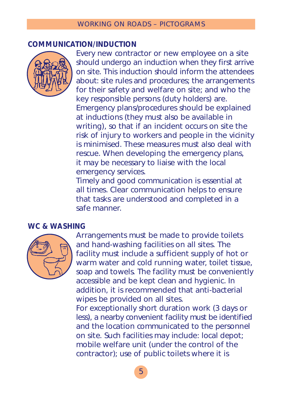#### **COMMUNICATION/INDUCTION**



Every new contractor or new employee on a site should undergo an induction when they first arrive on site. This induction should inform the attendees about: site rules and procedures; the arrangements for their safety and welfare on site; and who the key responsible persons (duty holders) are. Emergency plans/procedures should be explained at inductions (they must also be available in writing), so that if an incident occurs on site the risk of injury to workers and people in the vicinity is minimised. These measures must also deal with rescue. When developing the emergency plans, it may be necessary to liaise with the local emergency services.

Timely and good communication is essential at all times. Clear communication helps to ensure that tasks are understood and completed in a safe manner.

## **WC & WASHING**



Arrangements must be made to provide toilets and hand-washing facilities on all sites. The facility must include a sufficient supply of hot or warm water and cold running water, toilet tissue, soap and towels. The facility must be conveniently accessible and be kept clean and hygienic. In addition, it is recommended that anti-bacterial wipes be provided on all sites.

For exceptionally short duration work (3 days or less), a nearby convenient facility must be identified and the location communicated to the personnel on site. Such facilities may include: local depot; mobile welfare unit (under the control of the contractor); use of public toilets where it is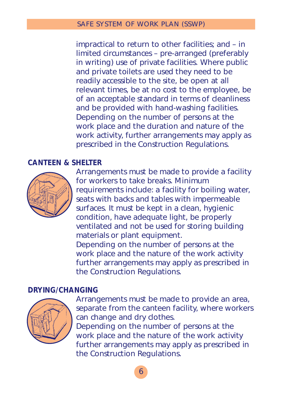impractical to return to other facilities; and – in limited circumstances – pre-arranged (preferably in writing) use of private facilities. Where public and private toilets are used they need to be readily accessible to the site, be open at all relevant times, be at no cost to the employee, be of an acceptable standard in terms of cleanliness and be provided with hand-washing facilities. Depending on the number of persons at the work place and the duration and nature of the work activity, further arrangements may apply as prescribed in the Construction Regulations.

# **CANTEEN & SHELTER**



Arrangements must be made to provide a facility for workers to take breaks. Minimum requirements include: a facility for boiling water, seats with backs and tables with impermeable surfaces. It must be kept in a clean, hygienic condition, have adequate light, be properly ventilated and not be used for storing building materials or plant equipment. Depending on the number of persons at the work place and the nature of the work activity further arrangements may apply as prescribed in the Construction Regulations.

#### **DRYING/CHANGING**



Arrangements must be made to provide an area, separate from the canteen facility, where workers can change and dry clothes. Depending on the number of persons at the work place and the nature of the work activity further arrangements may apply as prescribed in the Construction Regulations.

6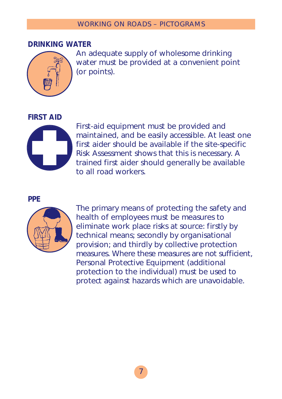# **DRINKING WATER**



An adequate supply of wholesome drinking water must be provided at a convenient point (or points).

#### **FIRST AID**



First-aid equipment must be provided and maintained, and be easily accessible. At least one first aider should be available if the site-specific Risk Assessment shows that this is necessary. A trained first aider should generally be available to all road workers.

#### **PPE**



The primary means of protecting the safety and health of employees must be measures to eliminate work place risks at source: firstly by technical means; secondly by organisational provision; and thirdly by collective protection measures. Where these measures are not sufficient, Personal Protective Equipment (additional protection to the individual) must be used to protect against hazards which are unavoidable.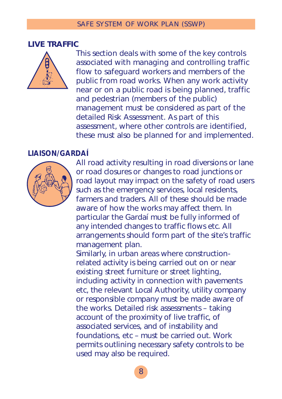#### **LIVE TRAFFIC**



This section deals with some of the key controls associated with managing and controlling traffic flow to safeguard workers and members of the public from road works. When any work activity near or on a public road is being planned, traffic and pedestrian (members of the public) management must be considered as part of the detailed Risk Assessment. As part of this assessment, where other controls are identified, these must also be planned for and implemented.

#### **LIAISON/GARDAÍ**



All road activity resulting in road diversions or lane or road closures or changes to road junctions or road layout may impact on the safety of road users such as the emergency services, local residents, farmers and traders. All of these should be made aware of how the works may affect them. In particular the Gardaí must be fully informed of any intended changes to traffic flows etc. All arrangements should form part of the site's traffic management plan.

Similarly, in urban areas where constructionrelated activity is being carried out on or near existing street furniture or street lighting, including activity in connection with pavements etc, the relevant Local Authority, utility company or responsible company must be made aware of the works. Detailed risk assessments – taking account of the proximity of live traffic, of associated services, and of instability and foundations, etc – must be carried out. Work permits outlining necessary safety controls to be used may also be required.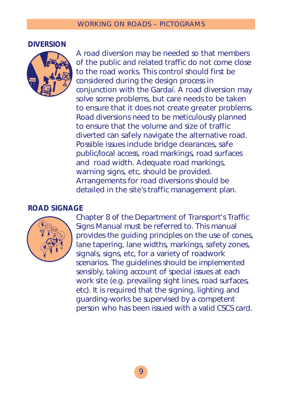#### **DIVERSION**



A road diversion may be needed so that members of the public and related traffic do not come close to the road works. This control should first be considered during the design process in conjunction with the Gardaí. A road diversion may solve some problems, but care needs to be taken to ensure that it does not create greater problems. Road diversions need to be meticulously planned to ensure that the volume and size of traffic diverted can safely navigate the alternative road. Possible issues include bridge clearances, safe public/local access, road markings, road surfaces and road width. Adequate road markings, warning signs, etc, should be provided. Arrangements for road diversions should be detailed in the site's traffic management plan.

# **ROAD SIGNAGE**



Chapter 8 of the Department of Transport's *Traffic Signs Manual* must be referred to. This manual provides the guiding principles on the use of cones, lane tapering, lane widths, markings, safety zones, signals, signs, etc, for a variety of roadwork scenarios. The guidelines should be implemented sensibly, taking account of special issues at each work site (e.g. prevailing sight lines, road surfaces, etc). It is required that the signing, lighting and guarding-works be supervised by a competent person who has been issued with a valid CSCS card.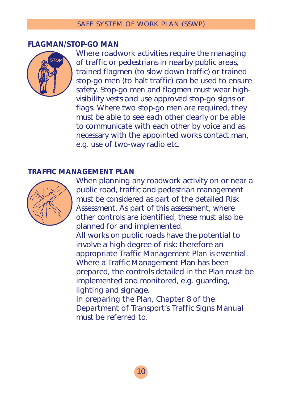#### **FLAGMAN/STOP-GO MAN**



Where roadwork activities require the managing of traffic or pedestrians in nearby public areas, trained flagmen (to slow down traffic) or trained stop-go men (to halt traffic) can be used to ensure safety. Stop-go men and flagmen must wear highvisibility vests and use approved stop-go signs or flags. Where two stop-go men are required, they must be able to see each other clearly or be able to communicate with each other by voice and as necessary with the appointed works contact man, e.g. use of two-way radio etc.

## **TRAFFIC MANAGEMENT PLAN**



When planning any roadwork activity on or near a public road, traffic and pedestrian management must be considered as part of the detailed Risk Assessment. As part of this assessment, where other controls are identified, these must also be planned for and implemented. All works on public roads have the potential to involve a high degree of risk: therefore an appropriate Traffic Management Plan is essential.

Where a Traffic Management Plan has been prepared, the controls detailed in the Plan must be implemented and monitored, e.g. guarding, lighting and signage.

In preparing the Plan, Chapter 8 of the Department of Transport's *Traffic Signs Manual* must be referred to.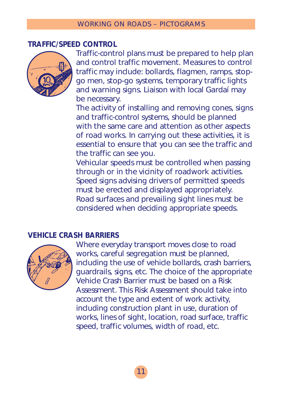## **TRAFFIC/SPEED CONTROL**



Traffic-control plans must be prepared to help plan and control traffic movement. Measures to control traffic may include: bollards, flagmen, ramps, stopgo men, stop-go systems, temporary traffic lights and warning signs. Liaison with local Gardaí may be necessary.

The activity of installing and removing cones, signs and traffic-control systems, should be planned with the same care and attention as other aspects of road works. In carrying out these activities, it is essential to ensure that you can see the traffic and the traffic can see you.

Vehicular speeds must be controlled when passing through or in the vicinity of roadwork activities. Speed signs advising drivers of permitted speeds must be erected and displayed appropriately. Road surfaces and prevailing sight lines must be considered when deciding appropriate speeds.

#### **VEHICLE CRASH BARRIERS**



Where everyday transport moves close to road works, careful segregation must be planned, including the use of vehicle bollards, crash barriers, guardrails, signs, etc. The choice of the appropriate Vehicle Crash Barrier must be based on a Risk Assessment. This Risk Assessment should take into account the type and extent of work activity, including construction plant in use, duration of works, lines of sight, location, road surface, traffic speed, traffic volumes, width of road, etc.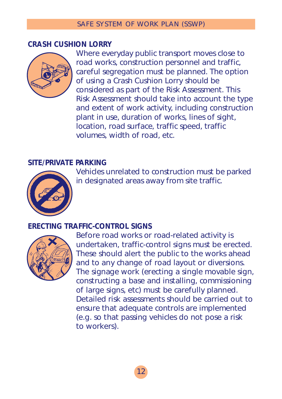## **CRASH CUSHION LORRY**



Where everyday public transport moves close to road works, construction personnel and traffic, careful segregation must be planned. The option of using a Crash Cushion Lorry should be considered as part of the Risk Assessment. This Risk Assessment should take into account the type and extent of work activity, including construction plant in use, duration of works, lines of sight, location, road surface, traffic speed, traffic volumes, width of road, etc.

## **SITE/PRIVATE PARKING**



Vehicles unrelated to construction must be parked in designated areas away from site traffic.

## **ERECTING TRAFFIC-CONTROL SIGNS**



Before road works or road-related activity is undertaken, traffic-control signs must be erected. These should alert the public to the works ahead and to any change of road layout or diversions. The signage work (erecting a single movable sign, constructing a base and installing, commissioning of large signs, etc) must be carefully planned. Detailed risk assessments should be carried out to ensure that adequate controls are implemented (e.g. so that passing vehicles do not pose a risk to workers).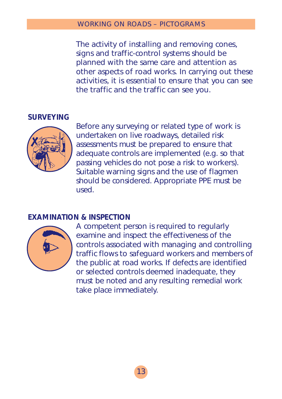The activity of installing and removing cones, signs and traffic-control systems should be planned with the same care and attention as other aspects of road works. In carrying out these activities, it is essential to ensure that you can see the traffic and the traffic can see you.

#### **SURVEYING**



Before any surveying or related type of work is undertaken on live roadways, detailed risk assessments must be prepared to ensure that adequate controls are implemented (e.g. so that passing vehicles do not pose a risk to workers). Suitable warning signs and the use of flagmen should be considered. Appropriate PPE must be used.

#### **EXAMINATION & INSPECTION**



A competent person is required to regularly examine and inspect the effectiveness of the controls associated with managing and controlling traffic flows to safeguard workers and members of the public at road works. If defects are identified or selected controls deemed inadequate, they must be noted and any resulting remedial work take place immediately.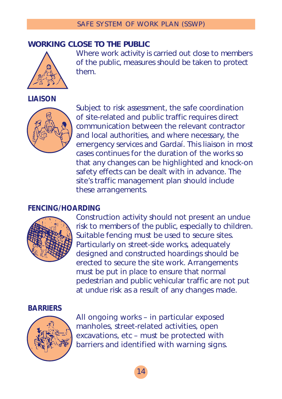## **WORKING CLOSE TO THE PUBLIC**

them.



**LIAISON**



Subject to risk assessment, the safe coordination of site-related and public traffic requires direct communication between the relevant contractor and local authorities, and where necessary, the emergency services and Gardaí. This liaison in most cases continues for the duration of the works so that any changes can be highlighted and knock-on safety effects can be dealt with in advance. The site's traffic management plan should include these arrangements.

Where work activity is carried out close to members of the public, measures should be taken to protect

#### **FENCING/HOARDING**



Construction activity should not present an undue risk to members of the public, especially to children. Suitable fencing must be used to secure sites. Particularly on street-side works, adequately designed and constructed hoardings should be erected to secure the site work. Arrangements must be put in place to ensure that normal pedestrian and public vehicular traffic are not put at undue risk as a result of any changes made.

## **BARRIERS**



All ongoing works – in particular exposed manholes, street-related activities, open excavations, etc – must be protected with barriers and identified with warning signs.

14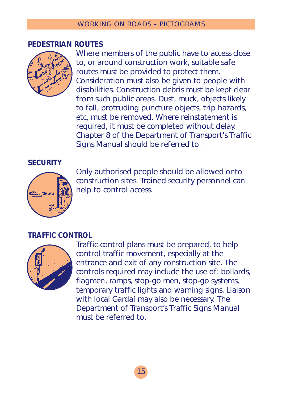## **PEDESTRIAN ROUTES**



Where members of the public have to access close to, or around construction work, suitable safe routes must be provided to protect them. Consideration must also be given to people with disabilities. Construction debris must be kept clear from such public areas. Dust, muck, objects likely to fall, protruding puncture objects, trip hazards, etc, must be removed. Where reinstatement is required, it must be completed without delay. Chapter 8 of the Department of Transport's *Traffic Signs Manual* should be referred to.

# **SECURITY**



Only authorised people should be allowed onto construction sites. Trained security personnel can help to control access.

# **TRAFFIC CONTROL**



Traffic-control plans must be prepared, to help control traffic movement, especially at the entrance and exit of any construction site. The controls required may include the use of: bollards, flagmen, ramps, stop-go men, stop-go systems, temporary traffic lights and warning signs. Liaison with local Gardaí may also be necessary. The Department of Transport's *Traffic Signs Manual* must be referred to.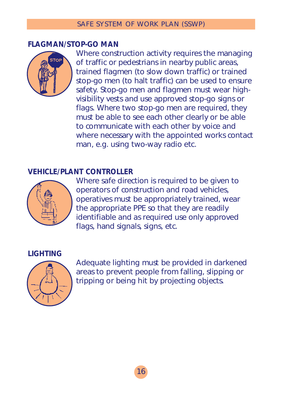## **FLAGMAN/STOP-GO MAN**



Where construction activity requires the managing of traffic or pedestrians in nearby public areas, trained flagmen (to slow down traffic) or trained stop-go men (to halt traffic) can be used to ensure safety. Stop-go men and flagmen must wear highvisibility vests and use approved stop-go signs or flags. Where two stop-go men are required, they must be able to see each other clearly or be able to communicate with each other by voice and where necessary with the appointed works contact man, e.g. using two-way radio etc.

## **VEHICLE/PLANT CONTROLLER**



Where safe direction is required to be given to operators of construction and road vehicles, operatives must be appropriately trained, wear the appropriate PPE so that they are readily identifiable and as required use only approved flags, hand signals, signs, etc.

## **LIGHTING**



Adequate lighting must be provided in darkened areas to prevent people from falling, slipping or tripping or being hit by projecting objects.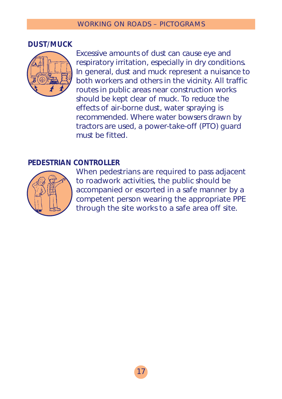### **DUST/MUCK**



Excessive amounts of dust can cause eye and respiratory irritation, especially in dry conditions. In general, dust and muck represent a nuisance to both workers and others in the vicinity. All traffic routes in public areas near construction works should be kept clear of muck. To reduce the effects of air-borne dust, water spraying is recommended. Where water bowsers drawn by tractors are used, a power-take-off (PTO) guard must be fitted.

## **PEDESTRIAN CONTROLLER**



When pedestrians are required to pass adjacent to roadwork activities, the public should be accompanied or escorted in a safe manner by a competent person wearing the appropriate PPE through the site works to a safe area off site.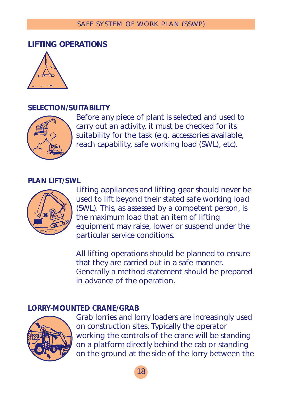## **LIFTING OPERATIONS**



#### **SELECTION/SUITABILITY**



Before any piece of plant is selected and used to carry out an activity, it must be checked for its suitability for the task (e.g. accessories available, reach capability, safe working load (SWL), etc).

#### **PLAN LIFT/SWL**



Lifting appliances and lifting gear should never be used to lift beyond their stated safe working load (SWL). This, as assessed by a competent person, is the maximum load that an item of lifting equipment may raise, lower or suspend under the particular service conditions.

All lifting operations should be planned to ensure that they are carried out in a safe manner. Generally a method statement should be prepared in advance of the operation.

#### **LORRY-MOUNTED CRANE/GRAB**



Grab lorries and lorry loaders are increasingly used on construction sites. Typically the operator working the controls of the crane will be standing on a platform directly behind the cab or standing on the ground at the side of the lorry between the

18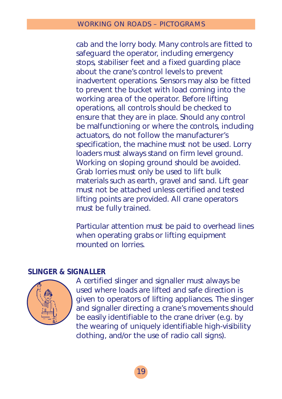cab and the lorry body. Many controls are fitted to safeguard the operator, including emergency stops, stabiliser feet and a fixed guarding place about the crane's control levels to prevent inadvertent operations. Sensors may also be fitted to prevent the bucket with load coming into the working area of the operator. Before lifting operations, all controls should be checked to ensure that they are in place. Should any control be malfunctioning or where the controls, including actuators, do not follow the manufacturer's specification, the machine must not be used. Lorry loaders must always stand on firm level ground. Working on sloping ground should be avoided. Grab lorries must only be used to lift bulk materials such as earth, gravel and sand. Lift gear must not be attached unless certified and tested lifting points are provided. All crane operators must be fully trained.

Particular attention must be paid to overhead lines when operating grabs or lifting equipment mounted on lorries.

#### **SLINGER & SIGNALLER**



A certified slinger and signaller must always be used where loads are lifted and safe direction is given to operators of lifting appliances. The slinger and signaller directing a crane's movements should be easily identifiable to the crane driver (e.g. by the wearing of uniquely identifiable high-visibility clothing, and/or the use of radio call signs).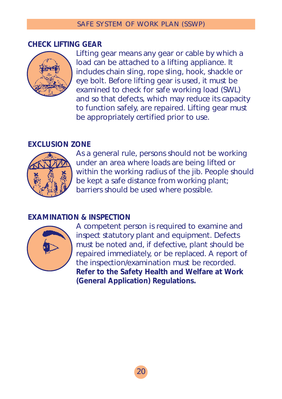## **CHECK LIFTING GEAR**



Lifting gear means any gear or cable by which a load can be attached to a lifting appliance. It includes chain sling, rope sling, hook, shackle or eve bolt. Before lifting gear is used, it must be examined to check for safe working load (SWL) and so that defects, which may reduce its capacity to function safely, are repaired. Lifting gear must be appropriately certified prior to use.

## **EXCLUSION ZONE**



As a general rule, persons should not be working under an area where loads are being lifted or within the working radius of the *iib*. People should be kept a safe distance from working plant; barriers should be used where possible.

## **EXAMINATION & INSPECTION**



A competent person is required to examine and inspect statutory plant and equipment. Defects must be noted and, if defective, plant should be repaired immediately, or be replaced. A report of the inspection/examination must be recorded. **Refer to the Safety Health and Welfare at Work (General Application) Regulations.**

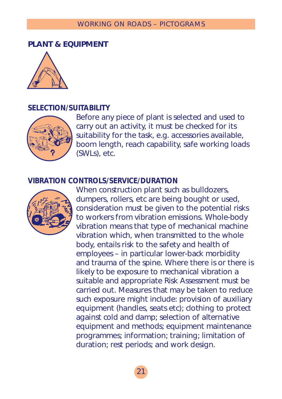#### **PLANT & EQUIPMENT**



#### **SELECTION/SUITABILITY**



Before any piece of plant is selected and used to carry out an activity, it must be checked for its suitability for the task, e.g. accessories available, boom length, reach capability, safe working loads (SWLs), etc.

#### **VIBRATION CONTROLS/SERVICE/DURATION**



When construction plant such as bulldozers, dumpers, rollers, etc are being bought or used, consideration must be given to the potential risks to workers from vibration emissions. Whole-body vibration means that type of mechanical machine vibration which, when transmitted to the whole body, entails risk to the safety and health of employees – in particular lower-back morbidity and trauma of the spine. Where there is or there is likely to be exposure to mechanical vibration a suitable and appropriate Risk Assessment must be carried out. Measures that may be taken to reduce such exposure might include: provision of auxiliary equipment (handles, seats etc); clothing to protect against cold and damp; selection of alternative equipment and methods; equipment maintenance programmes; information; training; limitation of duration; rest periods; and work design.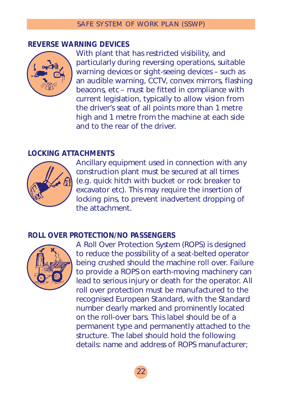### **REVERSE WARNING DEVICES**



With plant that has restricted visibility, and particularly during reversing operations, suitable warning devices or sight-seeing devices – such as an audible warning, CCTV, convex mirrors, flashing beacons, etc – must be fitted in compliance with current legislation, typically to allow vision from the driver's seat of all points more than 1 metre high and 1 metre from the machine at each side and to the rear of the driver.

## **LOCKING ATTACHMENTS**



Ancillary equipment used in connection with any construction plant must be secured at all times (e.g. quick hitch with bucket or rock breaker to excavator etc). This may require the insertion of locking pins, to prevent inadvertent dropping of the attachment.

## **ROLL OVER PROTECTION/NO PASSENGERS**



A Roll Over Protection System (ROPS) is designed to reduce the possibility of a seat-belted operator being crushed should the machine roll over. Failure to provide a ROPS on earth-moving machinery can lead to serious injury or death for the operator. All roll over protection must be manufactured to the recognised European Standard, with the Standard number clearly marked and prominently located on the roll-over bars. This label should be of a permanent type and permanently attached to the structure. The label should hold the following details: name and address of ROPS manufacturer;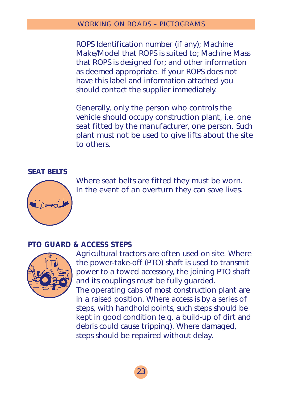ROPS Identification number (if any); Machine Make/Model that ROPS is suited to; Machine Mass that ROPS is designed for; and other information as deemed appropriate. If your ROPS does not have this label and information attached you should contact the supplier immediately.

Generally, only the person who controls the vehicle should occupy construction plant, i.e. one seat fitted by the manufacturer, one person. Such plant must not be used to give lifts about the site to others.

#### **SEAT BELTS**



Where seat belts are fitted they must be worn. In the event of an overturn they can save lives.

#### **PTO GUARD & ACCESS STEPS**



Agricultural tractors are often used on site. Where the power-take-off (PTO) shaft is used to transmit power to a towed accessory, the joining PTO shaft and its couplings must be fully guarded. The operating cabs of most construction plant are in a raised position. Where access is by a series of steps, with handhold points, such steps should be kept in good condition (e.g. a build-up of dirt and debris could cause tripping). Where damaged, steps should be repaired without delay.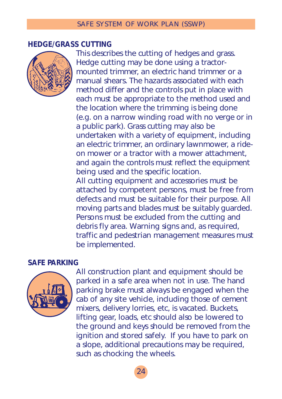#### **HEDGE/GRASS CUTTING**



This describes the cutting of hedges and grass. Hedge cutting may be done using a tractormounted trimmer, an electric hand trimmer or a manual shears. The hazards associated with each method differ and the controls put in place with each must be appropriate to the method used and the location where the trimming is being done (e.g. on a narrow winding road with no verge or in a public park). Grass cutting may also be undertaken with a variety of equipment, including an electric trimmer, an ordinary lawnmower, a rideon mower or a tractor with a mower attachment, and again the controls must reflect the equipment being used and the specific location. All cutting equipment and accessories must be attached by competent persons, must be free from defects and must be suitable for their purpose. All moving parts and blades must be suitably guarded. Persons must be excluded from the cutting and debris fly area. Warning signs and, as required, traffic and pedestrian management measures must

#### **SAFE PARKING**

be implemented.



All construction plant and equipment should be parked in a safe area when not in use. The hand parking brake must always be engaged when the cab of any site vehicle, including those of cement mixers, delivery lorries, etc, is vacated. Buckets, lifting gear, loads, etc should also be lowered to the ground and keys should be removed from the ignition and stored safely. If you have to park on a slope, additional precautions may be required, such as chocking the wheels.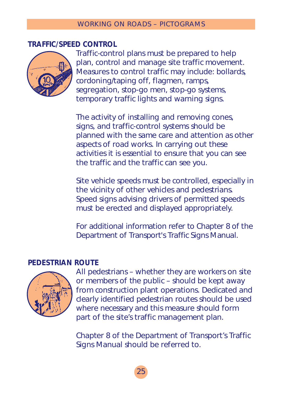## **TRAFFIC/SPEED CONTROL**



Traffic-control plans must be prepared to help plan, control and manage site traffic movement. Measures to control traffic may include: bollards, cordoning/taping off, flagmen, ramps, segregation, stop-go men, stop-go systems, temporary traffic lights and warning signs.

The activity of installing and removing cones, signs, and traffic-control systems should be planned with the same care and attention as other aspects of road works. In carrying out these activities it is essential to ensure that you can see the traffic and the traffic can see you.

Site vehicle speeds must be controlled, especially in the vicinity of other vehicles and pedestrians. Speed signs advising drivers of permitted speeds must be erected and displayed appropriately.

For additional information refer to Chapter 8 of the Department of Transport's *Traffic Signs Manual*.

# **PEDESTRIAN ROUTE**



All pedestrians – whether they are workers on site or members of the public – should be kept away from construction plant operations. Dedicated and clearly identified pedestrian routes should be used where necessary and this measure should form part of the site's traffic management plan.

Chapter 8 of the Department of Transport's *Traffic Signs Manual* should be referred to.

25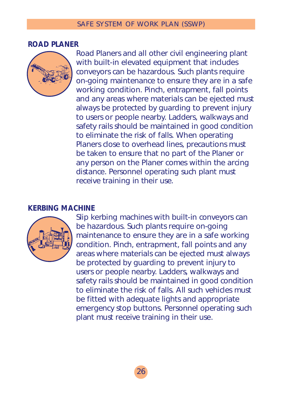#### **ROAD PLANER**



Road Planers and all other civil engineering plant with built-in elevated equipment that includes conveyors can be hazardous. Such plants require on-going maintenance to ensure they are in a safe working condition. Pinch, entrapment, fall points and any areas where materials can be ejected must always be protected by guarding to prevent injury to users or people nearby. Ladders, walkways and safety rails should be maintained in good condition to eliminate the risk of falls. When operating Planers close to overhead lines, precautions must be taken to ensure that no part of the Planer or any person on the Planer comes within the arcing distance. Personnel operating such plant must receive training in their use.

### **KERBING MACHINE**



Slip kerbing machines with built-in conveyors can be hazardous. Such plants require on-going maintenance to ensure they are in a safe working condition. Pinch, entrapment, fall points and any areas where materials can be ejected must always be protected by guarding to prevent injury to users or people nearby. Ladders, walkways and safety rails should be maintained in good condition to eliminate the risk of falls. All such vehicles must be fitted with adequate lights and appropriate emergency stop buttons. Personnel operating such plant must receive training in their use.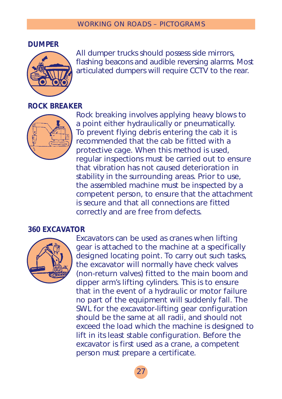#### **DUMPER**



All dumper trucks should possess side mirrors, flashing beacons and audible reversing alarms. Most articulated dumpers will require CCTV to the rear.

#### **ROCK BREAKER**



Rock breaking involves applying heavy blows to a point either hydraulically or pneumatically. To prevent flying debris entering the cab it is recommended that the cab be fitted with a protective cage. When this method is used, regular inspections must be carried out to ensure that vibration has not caused deterioration in stability in the surrounding areas. Prior to use, the assembled machine must be inspected by a competent person, to ensure that the attachment is secure and that all connections are fitted correctly and are free from defects.

## **360 EXCAVATOR**



Excavators can be used as cranes when lifting gear is attached to the machine at a specifically designed locating point. To carry out such tasks, the excavator will normally have check valves (non-return valves) fitted to the main boom and dipper arm's lifting cylinders. This is to ensure that in the event of a hydraulic or motor failure no part of the equipment will suddenly fall. The SWL for the excavator-lifting gear configuration should be the same at all radii, and should not exceed the load which the machine is designed to lift in its least stable configuration. Before the excavator is first used as a crane, a competent person must prepare a certificate.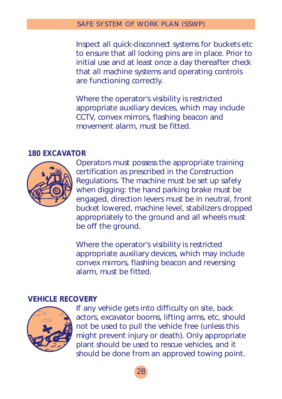Inspect all quick-disconnect systems for buckets etc to ensure that all locking pins are in place. Prior to initial use and at least once a day thereafter check that all machine systems and operating controls are functioning correctly.

Where the operator's visibility is restricted appropriate auxiliary devices, which may include CCTV, convex mirrors, flashing beacon and movement alarm, must be fitted.

#### **180 EXCAVATOR**



Operators must possess the appropriate training certification as prescribed in the Construction Regulations. The machine must be set up safely when digging: the hand parking brake must be engaged, direction levers must be in neutral, front bucket lowered, machine level, stabilizers dropped appropriately to the ground and all wheels must be off the ground.

Where the operator's visibility is restricted appropriate auxiliary devices, which may include convex mirrors, flashing beacon and reversing alarm, must be fitted.

## **VEHICLE RECOVERY**



If any vehicle gets into difficulty on site, back actors, excavator booms, lifting arms, etc, should not be used to pull the vehicle free (unless this might prevent injury or death). Only appropriate plant should be used to rescue vehicles, and it should be done from an approved towing point.

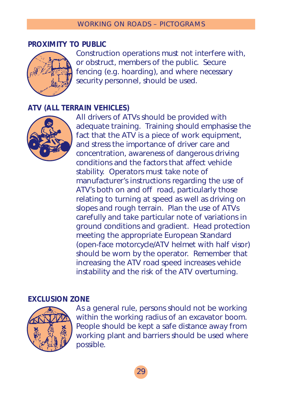# **PROXIMITY TO PUBLIC**



Construction operations must not interfere with, or obstruct, members of the public. Secure fencing (e.g. hoarding), and where necessary security personnel, should be used.

## **ATV (ALL TERRAIN VEHICLES)**



All drivers of ATVs should be provided with adequate training. Training should emphasise the fact that the ATV is a piece of work equipment. and stress the importance of driver care and concentration, awareness of dangerous driving conditions and the factors that affect vehicle stability. Operators must take note of manufacturer's instructions regarding the use of ATV's both on and off road, particularly those relating to turning at speed as well as driving on slopes and rough terrain. Plan the use of ATVs carefully and take particular note of variations in ground conditions and gradient. Head protection meeting the appropriate European Standard (open-face motorcycle/ATV helmet with half visor) should be worn by the operator. Remember that increasing the ATV road speed increases vehicle instability and the risk of the ATV overturning.

## **EXCLUSION ZONE**



As a general rule, persons should not be working within the working radius of an excavator boom. People should be kept a safe distance away from working plant and barriers should be used where possible.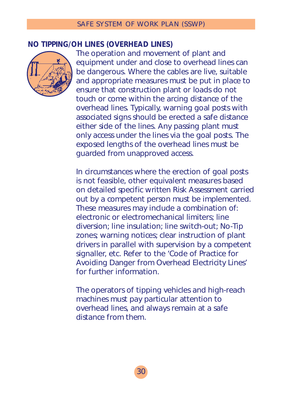# **NO TIPPING/OH LINES (OVERHEAD LINES)**



The operation and movement of plant and equipment under and close to overhead lines can be dangerous. Where the cables are live, suitable and appropriate measures must be put in place to ensure that construction plant or loads do not touch or come within the arcing distance of the overhead lines. Typically, warning goal posts with associated signs should be erected a safe distance either side of the lines. Any passing plant must only access under the lines via the goal posts. The exposed lengths of the overhead lines must be guarded from unapproved access.

In circumstances where the erection of goal posts is not feasible, other equivalent measures based on detailed specific written Risk Assessment carried out by a competent person must be implemented. These measures may include a combination of: electronic or electromechanical limiters; line diversion; line insulation; line switch-out; No-Tip zones; warning notices; clear instruction of plant drivers in parallel with supervision by a competent signaller, etc. Refer to the 'Code of Practice for Avoiding Danger from Overhead Electricity Lines' for further information.

The operators of tipping vehicles and high-reach machines must pay particular attention to overhead lines, and always remain at a safe distance from them.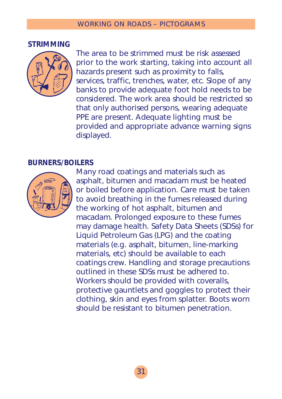**STRIMMING**



The area to be strimmed must be risk assessed prior to the work starting, taking into account all hazards present such as proximity to falls, services, traffic, trenches, water, etc. Slope of any banks to provide adequate foot hold needs to be considered. The work area should be restricted so that only authorised persons, wearing adequate PPE are present. Adequate lighting must be provided and appropriate advance warning signs displayed.

## **BURNERS/BOILERS**



Many road coatings and materials such as asphalt, bitumen and macadam must be heated or boiled before application. Care must be taken to avoid breathing in the fumes released during the working of hot asphalt, bitumen and macadam. Prolonged exposure to these fumes may damage health. Safety Data Sheets (SDSs) for Liquid Petroleum Gas (LPG) and the coating materials (e.g. asphalt, bitumen, line-marking materials, etc) should be available to each coatings crew. Handling and storage precautions outlined in these SDSs must be adhered to. Workers should be provided with coveralls. protective gauntlets and goggles to protect their clothing, skin and eyes from splatter. Boots worn should be resistant to bitumen penetration.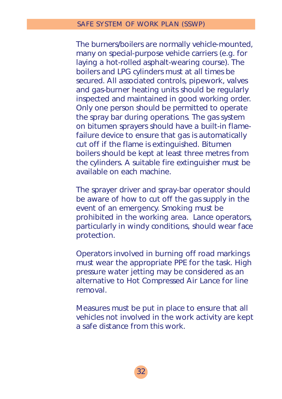The burners/boilers are normally vehicle-mounted, many on special-purpose vehicle carriers (e.g. for laying a hot-rolled asphalt-wearing course). The boilers and LPG cylinders must at all times be secured. All associated controls, pipework, valves and gas-burner heating units should be regularly inspected and maintained in good working order. Only one person should be permitted to operate the spray bar during operations. The gas system on bitumen sprayers should have a built-in flamefailure device to ensure that gas is automatically cut off if the flame is extinguished. Bitumen boilers should be kept at least three metres from the cylinders. A suitable fire extinguisher must be available on each machine.

The sprayer driver and spray-bar operator should be aware of how to cut off the gas supply in the event of an emergency. Smoking must be prohibited in the working area. Lance operators, particularly in windy conditions, should wear face protection.

Operators involved in burning off road markings must wear the appropriate PPE for the task. High pressure water jetting may be considered as an alternative to Hot Compressed Air Lance for line removal.

Measures must be put in place to ensure that all vehicles not involved in the work activity are kept a safe distance from this work.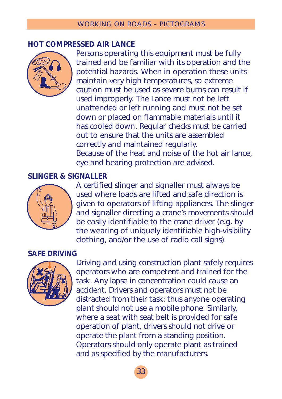## **HOT COMPRESSED AIR LANCE**



Persons operating this equipment must be fully trained and be familiar with its operation and the potential hazards. When in operation these units maintain very high temperatures, so extreme caution must be used as severe burns can result if used improperly. The Lance must not be left unattended or left running and must not be set down or placed on flammable materials until it has cooled down. Regular checks must be carried out to ensure that the units are assembled correctly and maintained regularly. Because of the heat and noise of the hot air lance, eye and hearing protection are advised.

## **SLINGER & SIGNALLER**



A certified slinger and signaller must always be used where loads are lifted and safe direction is given to operators of lifting appliances. The slinger and signaller directing a crane's movements should be easily identifiable to the crane driver (e.g. by the wearing of uniquely identifiable high-visibility clothing, and/or the use of radio call signs).

# **SAFE DRIVING**



Driving and using construction plant safely requires operators who are competent and trained for the task. Any lapse in concentration could cause an accident. Drivers and operators must not be distracted from their task: thus anyone operating plant should not use a mobile phone. Similarly, where a seat with seat belt is provided for safe operation of plant, drivers should not drive or operate the plant from a standing position. Operators should only operate plant as trained and as specified by the manufacturers.

33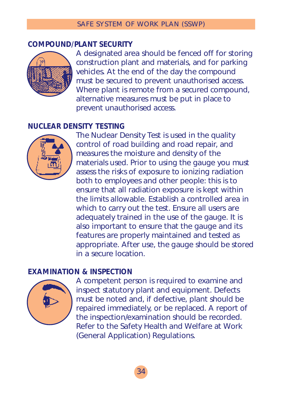## **COMPOUND/PLANT SECURITY**



A designated area should be fenced off for storing construction plant and materials, and for parking vehicles. At the end of the day the compound must be secured to prevent unauthorised access. Where plant is remote from a secured compound. alternative measures must be put in place to prevent unauthorised access.

# **NUCLEAR DENSITY TESTING**



The Nuclear Density Test is used in the quality control of road building and road repair, and measures the moisture and density of the materials used. Prior to using the gauge you must assess the risks of exposure to ionizing radiation both to employees and other people: this is to ensure that all radiation exposure is kept within the limits allowable. Establish a controlled area in which to carry out the test. Ensure all users are adequately trained in the use of the gauge. It is also important to ensure that the gauge and its features are properly maintained and tested as appropriate. After use, the gauge should be stored in a secure location.

## **EXAMINATION & INSPECTION**



A competent person is required to examine and inspect statutory plant and equipment. Defects must be noted and, if defective, plant should be repaired immediately, or be replaced. A report of the inspection/examination should be recorded. Refer to the Safety Health and Welfare at Work (General Application) Regulations.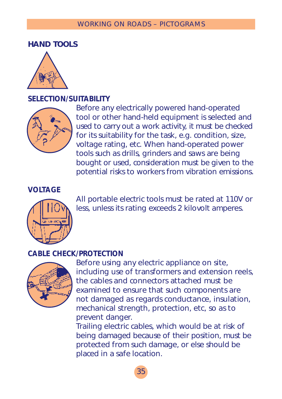## **HAND TOOLS**



## **SELECTION/SUITABILITY**



Before any electrically powered hand-operated tool or other hand-held equipment is selected and used to carry out a work activity, it must be checked for its suitability for the task, e.g. condition, size, voltage rating, etc. When hand-operated power tools such as drills, grinders and saws are being bought or used, consideration must be given to the potential risks to workers from vibration emissions.

**VOLTAGE**



All portable electric tools must be rated at 110V or less, unless its rating exceeds 2 kilovolt amperes.

## **CABLE CHECK/PROTECTION**



Before using any electric appliance on site, including use of transformers and extension reels, the cables and connectors attached must be examined to ensure that such components are not damaged as regards conductance, insulation, mechanical strength, protection, etc, so as to prevent danger.

Trailing electric cables, which would be at risk of being damaged because of their position, must be protected from such damage, or else should be placed in a safe location.

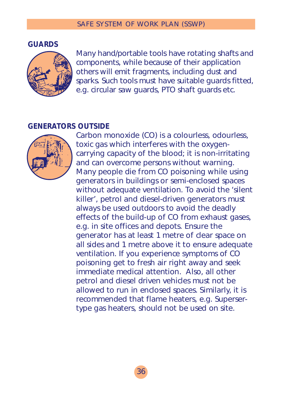#### **GUARDS**



Many hand/portable tools have rotating shafts and components, while because of their application others will emit fragments, including dust and sparks. Such tools must have suitable guards fitted, e.g. circular saw guards, PTO shaft guards etc.

## **GENERATORS OUTSIDE**



Carbon monoxide (CO) is a colourless, odourless, toxic gas which interferes with the oxygencarrying capacity of the blood; it is non-irritating and can overcome persons without warning. Many people die from CO poisoning while using generators in buildings or semi-enclosed spaces without adequate ventilation. To avoid the 'silent killer', petrol and diesel-driven generators must always be used outdoors to avoid the deadly effects of the build-up of CO from exhaust gases, e.g. in site offices and depots. Ensure the generator has at least 1 metre of clear space on all sides and 1 metre above it to ensure adequate ventilation. If you experience symptoms of CO poisoning get to fresh air right away and seek immediate medical attention. Also, all other petrol and diesel driven vehicles must not be allowed to run in enclosed spaces. Similarly, it is recommended that flame heaters, e.g. Supersertype gas heaters, should not be used on site.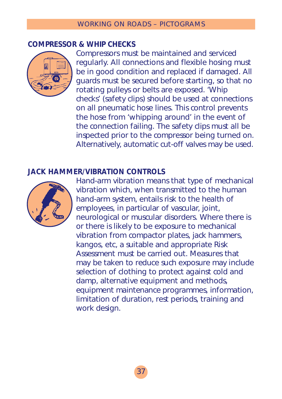#### **COMPRESSOR & WHIP CHECKS**



Compressors must be maintained and serviced regularly. All connections and flexible hosing must be in good condition and replaced if damaged. All guards must be secured before starting, so that no rotating pulleys or belts are exposed. 'Whip checks' (safety clips) should be used at connections on all pneumatic hose lines. This control prevents the hose from 'whipping around' in the event of the connection failing. The safety clips must all be inspected prior to the compressor being turned on. Alternatively, automatic cut-off valves may be used.

## **JACK HAMMER/VIBRATION CONTROLS**



Hand-arm vibration means that type of mechanical vibration which, when transmitted to the human hand-arm system, entails risk to the health of employees, in particular of vascular, joint, neurological or muscular disorders. Where there is or there is likely to be exposure to mechanical vibration from compactor plates, jack hammers, kangos, etc, a suitable and appropriate Risk Assessment must be carried out. Measures that may be taken to reduce such exposure may include selection of clothing to protect against cold and damp, alternative equipment and methods, equipment maintenance programmes, information, limitation of duration, rest periods, training and work design.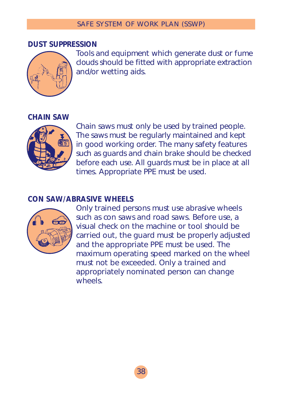### **DUST SUPPRESSION**



Tools and equipment which generate dust or fume clouds should be fitted with appropriate extraction and/or wetting aids.

#### **CHAIN SAW**



Chain saws must only be used by trained people. The saws must be regularly maintained and kept in good working order. The many safety features such as guards and chain brake should be checked before each use. All guards must be in place at all times. Appropriate PPE must be used.

# **CON SAW/ABRASIVE WHEELS**



Only trained persons must use abrasive wheels such as con saws and road saws. Before use, a visual check on the machine or tool should be carried out, the guard must be properly adjusted and the appropriate PPE must be used. The maximum operating speed marked on the wheel must not be exceeded. Only a trained and appropriately nominated person can change wheels.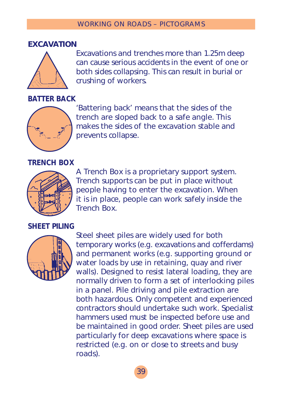# **EXCAVATION**



Excavations and trenches more than 1.25m deep can cause serious accidents in the event of one or both sides collapsing. This can result in burial or crushing of workers.

## **BATTER BACK**



'Battering back' means that the sides of the trench are sloped back to a safe angle. This makes the sides of the excavation stable and prevents collapse.

# **TRENCH BOX**



A Trench Box is a proprietary support system. Trench supports can be put in place without people having to enter the excavation. When it is in place, people can work safely inside the Trench Box.

# **SHEET PILING**



Steel sheet piles are widely used for both temporary works (e.g. excavations and cofferdams) and permanent works (e.g. supporting ground or water loads by use in retaining, quay and river walls). Designed to resist lateral loading, they are normally driven to form a set of interlocking piles in a panel. Pile driving and pile extraction are both hazardous. Only competent and experienced contractors should undertake such work. Specialist hammers used must be inspected before use and be maintained in good order. Sheet piles are used particularly for deep excavations where space is restricted (e.g. on or close to streets and busy roads).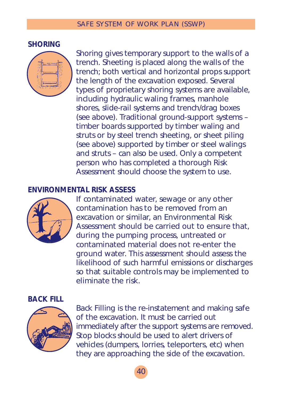#### **SHORING**



Shoring gives temporary support to the walls of a trench. Sheeting is placed along the walls of the trench; both vertical and horizontal props support the length of the excavation exposed. Several types of proprietary shoring systems are available, including hydraulic waling frames, manhole shores, slide-rail systems and trench/drag boxes (see above). Traditional ground-support systems – timber boards supported by timber waling and struts or by steel trench sheeting, or sheet piling (see above) supported by timber or steel walings and struts – can also be used. Only a competent person who has completed a thorough Risk Assessment should choose the system to use.

# **ENVIRONMENTAL RISK ASSESS**



If contaminated water, sewage or any other contamination has to be removed from an excavation or similar, an Environmental Risk Assessment should be carried out to ensure that, during the pumping process, untreated or contaminated material does not re-enter the ground water. This assessment should assess the likelihood of such harmful emissions or discharges so that suitable controls may be implemented to eliminate the risk.

### **BACK FILL**



Back Filling is the re-instatement and making safe of the excavation. It must be carried out immediately after the support systems are removed. Stop blocks should be used to alert drivers of vehicles (dumpers, lorries, teleporters, etc) when they are approaching the side of the excavation.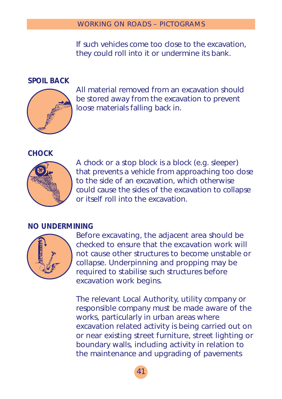If such vehicles come too close to the excavation, they could roll into it or undermine its bank.

#### **SPOIL BACK**



All material removed from an excavation should be stored away from the excavation to prevent loose materials falling back in.

**CHOCK**



A chock or a stop block is a block (e.g. sleeper) that prevents a vehicle from approaching too close to the side of an excavation, which otherwise could cause the sides of the excavation to collapse or itself roll into the excavation.

# **NO UNDERMINING**



Before excavating, the adjacent area should be checked to ensure that the excavation work will not cause other structures to become unstable or collapse. Underpinning and propping may be required to stabilise such structures before excavation work begins.

The relevant Local Authority, utility company or responsible company must be made aware of the works, particularly in urban areas where excavation related activity is being carried out on or near existing street furniture, street lighting or boundary walls, including activity in relation to the maintenance and upgrading of pavements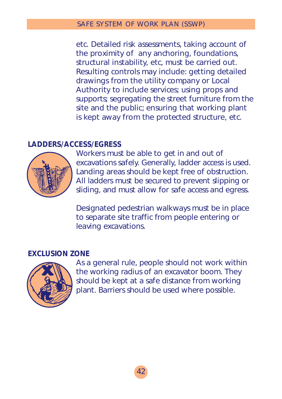etc. Detailed risk assessments, taking account of the proximity of any anchoring, foundations, structural instability, etc, must be carried out. Resulting controls may include: getting detailed drawings from the utility company or Local Authority to include services; using props and supports; segregating the street furniture from the site and the public; ensuring that working plant is kept away from the protected structure, etc.

### **LADDERS/ACCESS/EGRESS**



Workers must be able to get in and out of excavations safely. Generally, ladder access is used. Landing areas should be kept free of obstruction. All ladders must be secured to prevent slipping or sliding, and must allow for safe access and egress.

Designated pedestrian walkways must be in place to separate site traffic from people entering or leaving excavations.

#### **EXCLUSION ZONE**



As a general rule, people should not work within the working radius of an excavator boom. They should be kept at a safe distance from working plant. Barriers should be used where possible.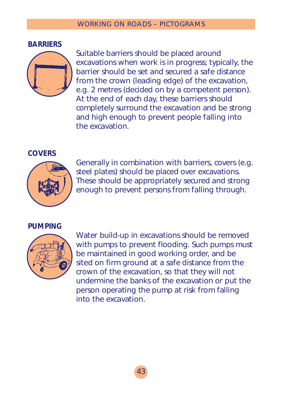# **BARRIERS**



Suitable barriers should be placed around excavations when work is in progress; typically, the barrier should be set and secured a safe distance from the crown (leading edge) of the excavation. e.g. 2 metres (decided on by a competent person). At the end of each day, these barriers should completely surround the excavation and be strong and high enough to prevent people falling into the excavation.

**COVERS** 



Generally in combination with barriers, covers (e.g. steel plates) should be placed over excavations. These should be appropriately secured and strong enough to prevent persons from falling through.

# **PUMPING**



Water build-up in excavations should be removed with pumps to prevent flooding. Such pumps must be maintained in good working order, and be sited on firm ground at a safe distance from the crown of the excavation, so that they will not undermine the banks of the excavation or put the person operating the pump at risk from falling into the excavation.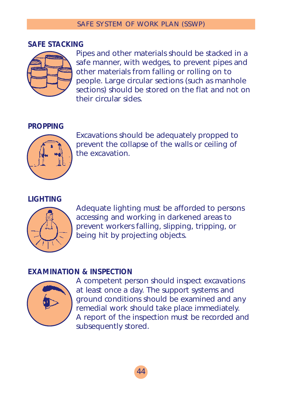#### **SAFE STACKING**



Pipes and other materials should be stacked in a safe manner, with wedges, to prevent pipes and other materials from falling or rolling on to people. Large circular sections (such as manhole sections) should be stored on the flat and not on their circular sides.

#### **PROPPING**



Excavations should be adequately propped to prevent the collapse of the walls or ceiling of the excavation.

## **LIGHTING**



Adequate lighting must be afforded to persons accessing and working in darkened areas to prevent workers falling, slipping, tripping, or being hit by projecting objects.

# **EXAMINATION & INSPECTION**



A competent person should inspect excavations at least once a day. The support systems and ground conditions should be examined and any remedial work should take place immediately. A report of the inspection must be recorded and subsequently stored.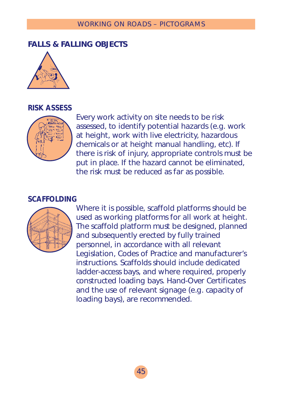# **FALLS & FALLING OBJECTS**



### **RISK ASSESS**



Every work activity on site needs to be risk assessed, to identify potential hazards (e.g. work at height, work with live electricity, hazardous chemicals or at height manual handling, etc). If there is risk of injury, appropriate controls must be put in place. If the hazard cannot be eliminated, the risk must be reduced as far as possible.

#### **SCAFFOLDING**



Where it is possible, scaffold platforms should be used as working platforms for all work at height. The scaffold platform must be designed, planned and subsequently erected by fully trained personnel, in accordance with all relevant Legislation, Codes of Practice and manufacturer's instructions. Scaffolds should include dedicated ladder-access bays, and where required, properly constructed loading bays. Hand-Over Certificates and the use of relevant signage (e.g. capacity of loading bays), are recommended.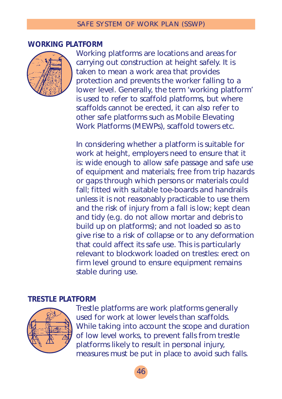#### **WORKING PLATFORM**



Working platforms are locations and areas for carrying out construction at height safely. It is taken to mean a work area that provides protection and prevents the worker falling to a lower level. Generally, the term 'working platform' is used to refer to scaffold platforms, but where scaffolds cannot be erected, it can also refer to other safe platforms such as Mobile Elevating Work Platforms (MEWPs), scaffold towers etc.

In considering whether a platform is suitable for work at height, employers need to ensure that it is: wide enough to allow safe passage and safe use of equipment and materials; free from trip hazards or gaps through which persons or materials could fall; fitted with suitable toe-boards and handrails unless it is not reasonably practicable to use them and the risk of injury from a fall is low; kept clean and tidy (e.g. do not allow mortar and debris to build up on platforms); and not loaded so as to give rise to a risk of collapse or to any deformation that could affect its safe use. This is particularly relevant to blockwork loaded on trestles: erect on firm level ground to ensure equipment remains stable during use.

### **TRESTLE PLATFORM**



Trestle platforms are work platforms generally used for work at lower levels than scaffolds. While taking into account the scope and duration of low level works, to prevent falls from trestle platforms likely to result in personal injury, measures must be put in place to avoid such falls.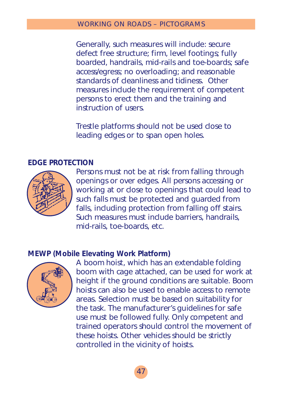Generally, such measures will include: secure defect free structure; firm, level footings; fully boarded, handrails, mid-rails and toe-boards; safe access/egress; no overloading; and reasonable standards of cleanliness and tidiness. Other measures include the requirement of competent persons to erect them and the training and instruction of users.

Trestle platforms should not be used close to leading edges or to span open holes.

### **EDGE PROTECTION**



Persons must not be at risk from falling through openings or over edges. All persons accessing or working at or close to openings that could lead to such falls must be protected and guarded from falls, including protection from falling off stairs. Such measures must include barriers, handrails, mid-rails, toe-boards, etc.

# **MEWP (Mobile Elevating Work Platform)**



A boom hoist, which has an extendable folding boom with cage attached, can be used for work at height if the ground conditions are suitable. Boom hoists can also be used to enable access to remote areas. Selection must be based on suitability for the task. The manufacturer's guidelines for safe use must be followed fully. Only competent and trained operators should control the movement of these hoists. Other vehicles should be strictly controlled in the vicinity of hoists.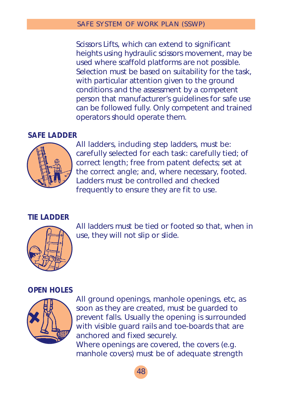Scissors Lifts, which can extend to significant heights using hydraulic scissors movement, may be used where scaffold platforms are not possible. Selection must be based on suitability for the task, with particular attention given to the ground conditions and the assessment by a competent person that manufacturer's guidelines for safe use can be followed fully. Only competent and trained operators should operate them.

# **SAFE LADDER**



All ladders, including step ladders, must be: carefully selected for each task: carefully tied; of correct length; free from patent defects; set at the correct angle; and, where necessary, footed. Ladders must be controlled and checked frequently to ensure they are fit to use.

# **TIE LADDER**



All ladders must be tied or footed so that, when in use, they will not slip or slide.

# **OPEN HOLES**



All ground openings, manhole openings, etc, as soon as they are created, must be guarded to prevent falls. Usually the opening is surrounded with visible guard rails and toe-boards that are anchored and fixed securely. Where openings are covered, the covers (e.g.

manhole covers) must be of adequate strength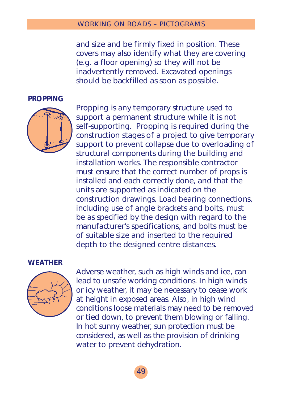and size and be firmly fixed in position. These covers may also identify what they are covering (e.g. a floor opening) so they will not be inadvertently removed. Excavated openings should be backfilled as soon as possible.

#### **PROPPING**



Propping is any temporary structure used to support a permanent structure while it is not self-supporting. Propping is required during the construction stages of a project to give temporary support to prevent collapse due to overloading of structural components during the building and installation works. The responsible contractor must ensure that the correct number of props is installed and each correctly done, and that the units are supported as indicated on the construction drawings. Load bearing connections, including use of angle brackets and bolts, must be as specified by the design with regard to the manufacturer's specifications, and bolts must be of suitable size and inserted to the required depth to the designed centre distances.

#### **WEATHER**



Adverse weather, such as high winds and ice, can lead to unsafe working conditions. In high winds or icy weather, it may be necessary to cease work at height in exposed areas. Also, in high wind conditions loose materials may need to be removed or tied down, to prevent them blowing or falling. In hot sunny weather, sun protection must be considered, as well as the provision of drinking water to prevent dehydration.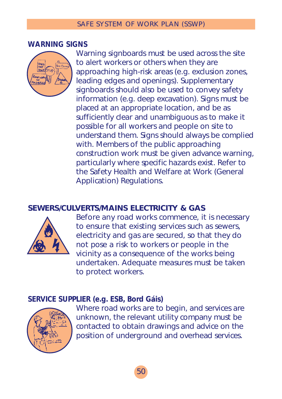#### **WARNING SIGNS**



Warning signboards must be used across the site to alert workers or others when they are approaching high-risk areas (e.g. exclusion zones, leading edges and openings). Supplementary signboards should also be used to convey safety information (e.g. deep excavation). Signs must be placed at an appropriate location, and be as sufficiently clear and unambiguous as to make it possible for all workers and people on site to understand them. Signs should always be complied with. Members of the public approaching construction work must be given advance warning, particularly where specific hazards exist. Refer to the Safety Health and Welfare at Work (General Application) Regulations.

# **SEWERS/CULVERTS/MAINS ELECTRICITY & GAS**



Before any road works commence, it is necessary to ensure that existing services such as sewers, electricity and gas are secured, so that they do not pose a risk to workers or people in the vicinity as a consequence of the works being undertaken. Adequate measures must be taken to protect workers.

# **SERVICE SUPPLIER (e.g. ESB, Bord Gáis)**



Where road works are to begin, and services are unknown, the relevant utility company must be contacted to obtain drawings and advice on the position of underground and overhead services.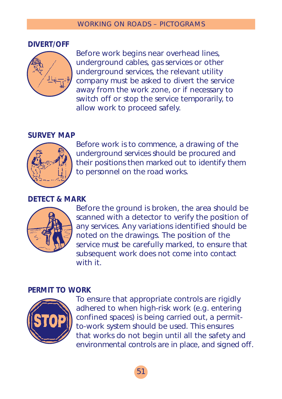# **DIVERT/OFF**



Before work begins near overhead lines, underground cables, gas services or other underground services, the relevant utility company must be asked to divert the service away from the work zone, or if necessary to switch off or stop the service temporarily, to allow work to proceed safely.

# **SURVEY MAP**



Before work is to commence, a drawing of the underground services should be procured and their positions then marked out to identify them to personnel on the road works.

# **DETECT & MARK**



Before the ground is broken, the area should be scanned with a detector to verify the position of any services. Any variations identified should be noted on the drawings. The position of the service must be carefully marked, to ensure that subsequent work does not come into contact with it.

# **PERMIT TO WORK**



To ensure that appropriate controls are rigidly adhered to when high-risk work (e.g. entering confined spaces) is being carried out, a permitto-work system should be used. This ensures that works do not begin until all the safety and environmental controls are in place, and signed off.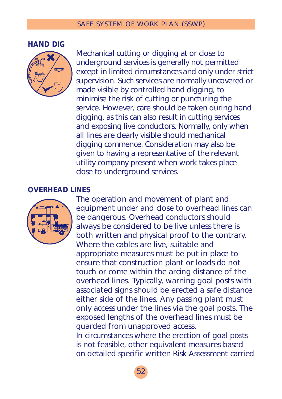**HAND DIG**



Mechanical cutting or digging at or close to underground services is generally not permitted except in limited circumstances and only under strict supervision. Such services are normally uncovered or made visible by controlled hand digging, to minimise the risk of cutting or puncturing the service. However, care should be taken during hand digging, as this can also result in cutting services and exposing live conductors. Normally, only when all lines are clearly visible should mechanical digging commence. Consideration may also be given to having a representative of the relevant utility company present when work takes place close to underground services.

# **OVERHEAD LINES**



The operation and movement of plant and equipment under and close to overhead lines can be dangerous. Overhead conductors should always be considered to be live unless there is both written and physical proof to the contrary. Where the cables are live, suitable and appropriate measures must be put in place to ensure that construction plant or loads do not touch or come within the arcing distance of the overhead lines. Typically, warning goal posts with associated signs should be erected a safe distance either side of the lines. Any passing plant must only access under the lines via the goal posts. The exposed lengths of the overhead lines must be guarded from unapproved access. In circumstances where the erection of goal posts is not feasible, other equivalent measures based on detailed specific written Risk Assessment carried

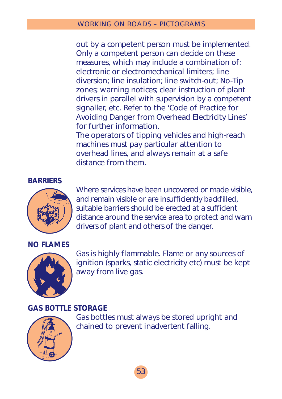out by a competent person must be implemented. Only a competent person can decide on these measures, which may include a combination of: electronic or electromechanical limiters; line diversion; line insulation; line switch-out; No-Tip zones; warning notices; clear instruction of plant drivers in parallel with supervision by a competent signaller, etc. Refer to the 'Code of Practice for Avoiding Danger from Overhead Electricity Lines' for further information.

The operators of tipping vehicles and high-reach machines must pay particular attention to overhead lines, and always remain at a safe distance from them.

# **BARRIERS**



Where services have been uncovered or made visible, and remain visible or are insufficiently backfilled, suitable barriers should be erected at a sufficient distance around the service area to protect and warn drivers of plant and others of the danger.

# **NO FLAMES**



Gas is highly flammable. Flame or any sources of ignition (sparks, static electricity etc) must be kept away from live gas.

# **GAS BOTTLE STORAGE**



Gas bottles must always be stored upright and chained to prevent inadvertent falling.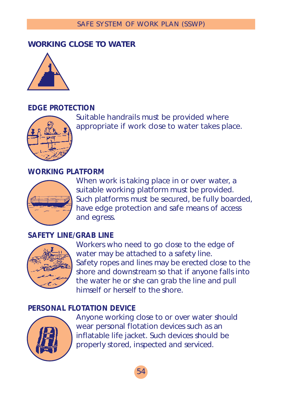# **WORKING CLOSE TO WATER**



## **EDGE PROTECTION**



Suitable handrails must be provided where appropriate if work close to water takes place.

# **WORKING PLATFORM**



When work is taking place in or over water, a suitable working platform must be provided. Such platforms must be secured, be fully boarded, have edge protection and safe means of access and egress.

# **SAFETY LINE/GRAB LINE**



Workers who need to go close to the edge of water may be attached to a safety line. Safety ropes and lines may be erected close to the shore and downstream so that if anyone falls into the water he or she can grab the line and pull himself or herself to the shore.

# **PERSONAL FLOTATION DEVICE**



Anyone working close to or over water should wear personal flotation devices such as an inflatable life jacket. Such devices should be properly stored, inspected and serviced.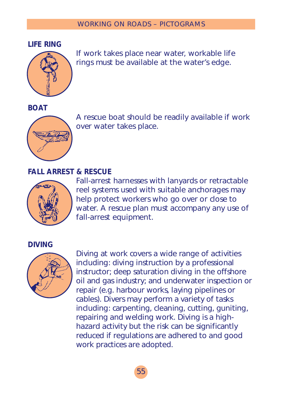# **LIFE RING**



If work takes place near water, workable life rings must be available at the water's edge.

**BOAT**



A rescue boat should be readily available if work over water takes place.

# **FALL ARREST & RESCUE**



Fall-arrest harnesses with lanyards or retractable reel systems used with suitable anchorages may help protect workers who go over or close to water. A rescue plan must accompany any use of fall-arrest equipment.

# **DIVING**



Diving at work covers a wide range of activities including: diving instruction by a professional instructor; deep saturation diving in the offshore oil and gas industry; and underwater inspection or repair (e.g. harbour works, laying pipelines or cables). Divers may perform a variety of tasks including: carpenting, cleaning, cutting, guniting, repairing and welding work. Diving is a highhazard activity but the risk can be significantly reduced if regulations are adhered to and good work practices are adopted.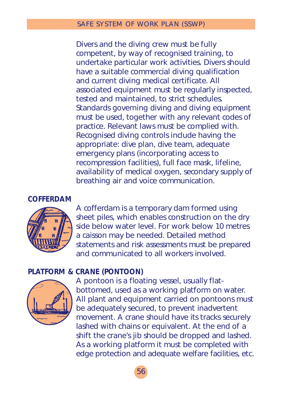Divers and the diving crew must be fully competent, by way of recognised training, to undertake particular work activities. Divers should have a suitable commercial diving qualification and current diving medical certificate. All associated equipment must be regularly inspected, tested and maintained, to strict schedules. Standards governing diving and diving equipment must be used, together with any relevant codes of practice. Relevant laws must be complied with. Recognised diving controls include having the appropriate: dive plan, dive team, adequate emergency plans (incorporating access to recompression facilities), full face mask, lifeline, availability of medical oxygen, secondary supply of breathing air and voice communication.

#### **COFFERDAM**



A cofferdam is a temporary dam formed using sheet piles, which enables construction on the dry side below water level. For work below 10 metres a caisson may be needed. Detailed method statements and risk assessments must be prepared and communicated to all workers involved.

# **PLATFORM & CRANE (PONTOON)**



A pontoon is a floating vessel, usually flatbottomed, used as a working platform on water. All plant and equipment carried on pontoons must be adequately secured, to prevent inadvertent movement. A crane should have its tracks securely lashed with chains or equivalent. At the end of a shift the crane's jib should be dropped and lashed. As a working platform it must be completed with edge protection and adequate welfare facilities, etc.

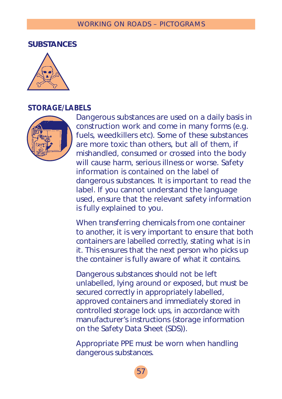#### **SUBSTANCES**



## **STORAGE/LABELS**



Dangerous substances are used on a daily basis in construction work and come in many forms (e.g. fuels, weedkillers etc). Some of these substances are more toxic than others, but all of them, if mishandled, consumed or crossed into the body will cause harm, serious illness or worse. Safety information is contained on the label of dangerous substances. It is important to read the label. If you cannot understand the language used, ensure that the relevant safety information is fully explained to you.

When transferring chemicals from one container to another, it is very important to ensure that both containers are labelled correctly, stating what is in it. This ensures that the next person who picks up the container is fully aware of what it contains.

Dangerous substances should not be left unlabelled, lying around or exposed, but must be secured correctly in appropriately labelled, approved containers and immediately stored in controlled storage lock ups, in accordance with manufacturer's instructions (storage information on the Safety Data Sheet (SDS)).

Appropriate PPE must be worn when handling dangerous substances.

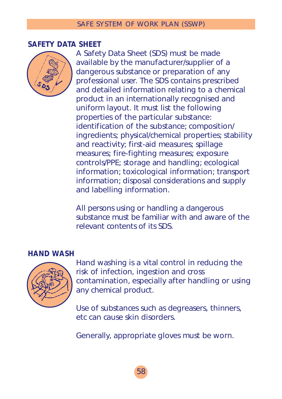#### **SAFETY DATA SHEET**



A Safety Data Sheet (SDS) must be made available by the manufacturer/supplier of a dangerous substance or preparation of any professional user. The SDS contains prescribed and detailed information relating to a chemical product in an internationally recognised and uniform layout. It must list the following properties of the particular substance: identification of the substance; composition/ ingredients; physical/chemical properties; stability and reactivity; first-aid measures; spillage measures; fire-fighting measures; exposure controls/PPE; storage and handling; ecological information; toxicological information; transport information; disposal considerations and supply and labelling information.

All persons using or handling a dangerous substance must be familiar with and aware of the relevant contents of its SDS.

#### **HAND WASH**



Hand washing is a vital control in reducing the risk of infection, ingestion and cross contamination, especially after handling or using any chemical product.

Use of substances such as degreasers, thinners, etc can cause skin disorders.

Generally, appropriate gloves must be worn.

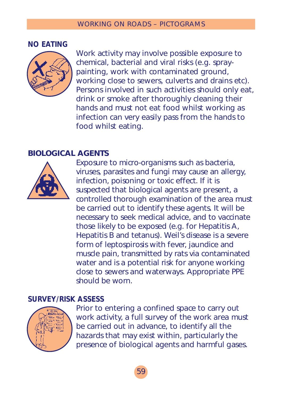**NO EATING**



Work activity may involve possible exposure to chemical, bacterial and viral risks (e.g. spraypainting, work with contaminated ground, working close to sewers, culverts and drains etc). Persons involved in such activities should only eat, drink or smoke after thoroughly cleaning their hands and must not eat food whilst working as infection can very easily pass from the hands to food whilst eating.

# **BIOLOGICAL AGENTS**



Exposure to micro-organisms such as bacteria, viruses, parasites and fungi may cause an allergy, infection, poisoning or toxic effect. If it is suspected that biological agents are present, a controlled thorough examination of the area must be carried out to identify these agents. It will be necessary to seek medical advice, and to vaccinate those likely to be exposed (e.g. for Hepatitis A, Hepatitis B and tetanus). Weil's disease is a severe form of leptospirosis with fever, jaundice and muscle pain, transmitted by rats via contaminated water and is a potential risk for anyone working close to sewers and waterways. Appropriate PPE should be worn.

## **SURVEY/RISK ASSESS**



Prior to entering a confined space to carry out work activity, a full survey of the work area must be carried out in advance, to identify all the hazards that may exist within, particularly the presence of biological agents and harmful gases.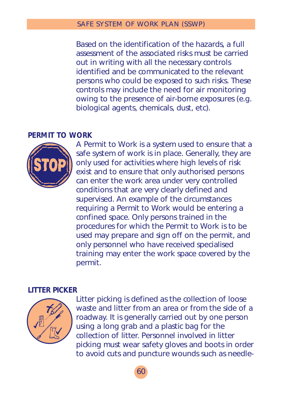Based on the identification of the hazards, a full assessment of the associated risks must be carried out in writing with all the necessary controls identified and be communicated to the relevant persons who could be exposed to such risks. These controls may include the need for air monitoring owing to the presence of air-borne exposures (e.g. biological agents, chemicals, dust, etc).

# **PERMIT TO WORK**



A Permit to Work is a system used to ensure that a safe system of work is in place. Generally, they are only used for activities where high levels of risk exist and to ensure that only authorised persons can enter the work area under very controlled conditions that are very clearly defined and supervised. An example of the circumstances requiring a Permit to Work would be entering a confined space. Only persons trained in the procedures for which the Permit to Work is to be used may prepare and sign off on the permit, and only personnel who have received specialised training may enter the work space covered by the permit.

# **LITTER PICKER**



Litter picking is defined as the collection of loose waste and litter from an area or from the side of a roadway. It is generally carried out by one person using a long grab and a plastic bag for the collection of litter. Personnel involved in litter picking must wear safety gloves and boots in order to avoid cuts and puncture wounds such as needle-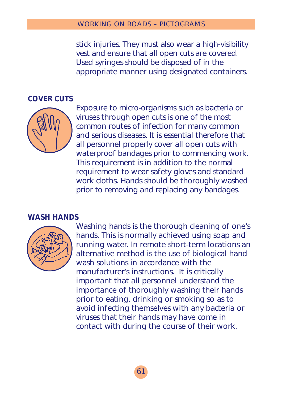stick injuries. They must also wear a high-visibility vest and ensure that all open cuts are covered. Used syringes should be disposed of in the appropriate manner using designated containers.

### **COVER CUTS**



Exposure to micro-organisms such as bacteria or viruses through open cuts is one of the most common routes of infection for many common and serious diseases. It is essential therefore that all personnel properly cover all open cuts with waterproof bandages prior to commencing work. This requirement is in addition to the normal requirement to wear safety gloves and standard work cloths. Hands should be thoroughly washed prior to removing and replacing any bandages.

#### **WASH HANDS**



Washing hands is the thorough cleaning of one's hands. This is normally achieved using soap and running water. In remote short-term locations an alternative method is the use of biological hand wash solutions in accordance with the manufacturer's instructions. It is critically important that all personnel understand the importance of thoroughly washing their hands prior to eating, drinking or smoking so as to avoid infecting themselves with any bacteria or viruses that their hands may have come in contact with during the course of their work.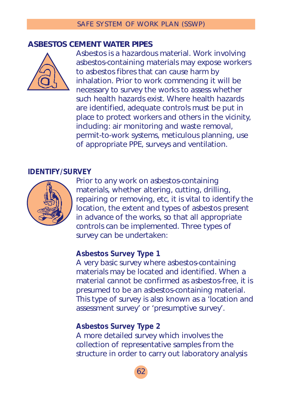# **ASBESTOS CEMENT WATER PIPES**



Asbestos is a hazardous material. Work involving asbestos-containing materials may expose workers to asbestos fibres that can cause harm by inhalation. Prior to work commencing it will be necessary to survey the works to assess whether such health hazards exist. Where health hazards are identified, adequate controls must be put in place to protect workers and others in the vicinity, including: air monitoring and waste removal, permit-to-work systems, meticulous planning, use of appropriate PPE, surveys and ventilation.

#### **IDENTIFY/SURVEY**



Prior to any work on asbestos-containing materials, whether altering, cutting, drilling, repairing or removing, etc, it is vital to identify the location, the extent and types of asbestos present in advance of the works, so that all appropriate controls can be implemented. Three types of survey can be undertaken:

# **Asbestos Survey Type 1**

A very basic survey where asbestos-containing materials may be located and identified. When a material cannot be confirmed as asbestos-free, it is presumed to be an asbestos-containing material. This type of survey is also known as a 'location and assessment survey' or 'presumptive survey'.

# **Asbestos Survey Type 2**

A more detailed survey which involves the collection of representative samples from the structure in order to carry out laboratory analysis

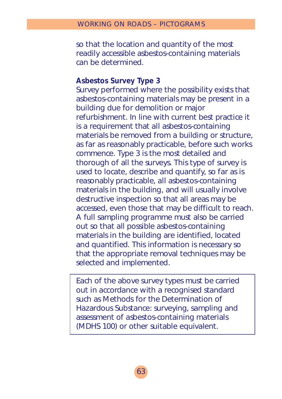so that the location and quantity of the most readily accessible asbestos-containing materials can be determined.

# **Asbestos Survey Type 3**

Survey performed where the possibility exists that asbestos-containing materials may be present in a building due for demolition or major refurbishment. In line with current best practice it is a requirement that all asbestos-containing materials be removed from a building or structure, as far as reasonably practicable, before such works commence. Type 3 is the most detailed and thorough of all the surveys. This type of survey is used to locate, describe and quantify, so far as is reasonably practicable, all asbestos-containing materials in the building, and will usually involve destructive inspection so that all areas may be accessed, even those that may be difficult to reach. A full sampling programme must also be carried out so that all possible asbestos-containing materials in the building are identified, located and quantified. This information is necessary so that the appropriate removal techniques may be selected and implemented.

Each of the above survey types must be carried out in accordance with a recognised standard such as Methods for the Determination of Hazardous Substance: surveying, sampling and assessment of asbestos-containing materials (MDHS 100) or other suitable equivalent.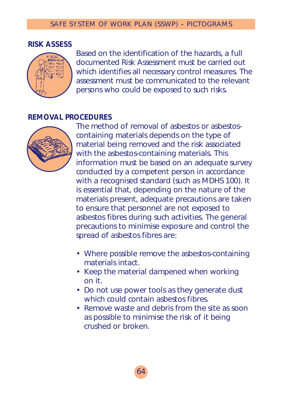#### SAFE SYSTEM OF WORK PLAN (SSWP) – PICTOGRAMS

#### **RISK ASSESS**



Based on the identification of the hazards, a full documented Risk Assessment must be carried out which identifies all necessary control measures. The assessment must be communicated to the relevant persons who could be exposed to such risks.

# **REMOVAL PROCEDURES**



The method of removal of asbestos or asbestoscontaining materials depends on the type of material being removed and the risk associated with the asbestos-containing materials. This information must be based on an adequate survey conducted by a competent person in accordance with a recognised standard (such as MDHS 100). It is essential that, depending on the nature of the materials present, adequate precautions are taken to ensure that personnel are not exposed to asbestos fibres during such activities. The general precautions to minimise exposure and control the spread of asbestos fibres are:

- Where possible remove the asbestos-containing materials intact.
- Keep the material dampened when working on it.
- Do not use power tools as they generate dust which could contain asbestos fibres.
- Remove waste and debris from the site as soon as possible to minimise the risk of it being crushed or broken.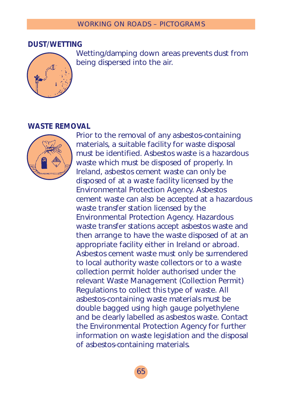### **DUST/WETTING**



Wetting/damping down areas prevents dust from being dispersed into the air.

# **WASTE REMOVAL**



Prior to the removal of any asbestos-containing materials, a suitable facility for waste disposal must be identified. Asbestos waste is a hazardous waste which must be disposed of properly. In Ireland, asbestos cement waste can only be disposed of at a waste facility licensed by the Environmental Protection Agency. Asbestos cement waste can also be accepted at a hazardous waste transfer station licensed by the Environmental Protection Agency. Hazardous waste transfer stations accept asbestos waste and then arrange to have the waste disposed of at an appropriate facility either in Ireland or abroad. Asbestos cement waste must only be surrendered to local authority waste collectors or to a waste collection permit holder authorised under the relevant Waste Management (Collection Permit) Regulations to collect this type of waste. All asbestos-containing waste materials must be double bagged using high gauge polyethylene and be clearly labelled as asbestos waste. Contact the Environmental Protection Agency for further information on waste legislation and the disposal of asbestos-containing materials.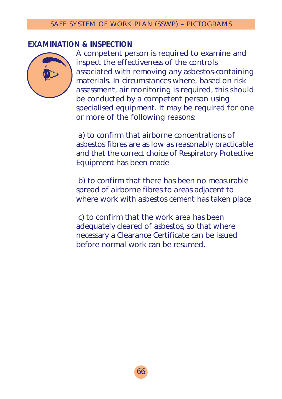#### SAFE SYSTEM OF WORK PLAN (SSWP) – PICTOGRAMS

### **EXAMINATION & INSPECTION**



A competent person is required to examine and inspect the effectiveness of the controls associated with removing any asbestos-containing materials. In circumstances where, based on risk assessment, air monitoring is required, this should be conducted by a competent person using specialised equipment. It may be required for one or more of the following reasons:

a) to confirm that airborne concentrations of asbestos fibres are as low as reasonably practicable and that the correct choice of Respiratory Protective Equipment has been made

b) to confirm that there has been no measurable spread of airborne fibres to areas adjacent to where work with asbestos cement has taken place

c) to confirm that the work area has been adequately cleared of asbestos, so that where necessary a Clearance Certificate can be issued before normal work can be resumed.

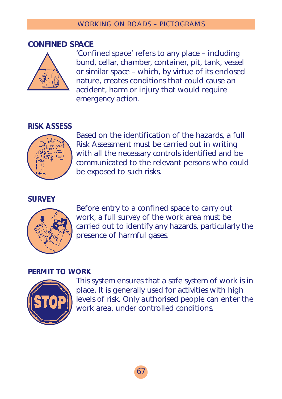# **CONFINED SPACE**



'Confined space' refers to any place – including bund, cellar, chamber, container, pit, tank, vessel or similar space – which, by virtue of its enclosed nature, creates conditions that could cause an accident, harm or injury that would require emergency action.

# **RISK ASSESS**



Based on the identification of the hazards, a full Risk Assessment must be carried out in writing with all the necessary controls identified and be communicated to the relevant persons who could be exposed to such risks.

## **SURVEY**



Before entry to a confined space to carry out work, a full survey of the work area must be carried out to identify any hazards, particularly the presence of harmful gases.

# **PERMIT TO WORK**



This system ensures that a safe system of work is in place. It is generally used for activities with high levels of risk. Only authorised people can enter the work area, under controlled conditions.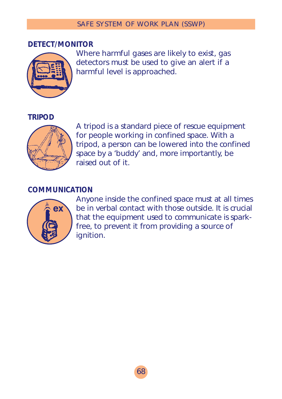## **DETECT/MONITOR**



Where harmful gases are likely to exist, gas detectors must be used to give an alert if a harmful level is approached.

#### **TRIPOD**



A tripod is a standard piece of rescue equipment for people working in confined space. With a tripod, a person can be lowered into the confined space by a 'buddy' and, more importantly, be raised out of it.

#### **COMMUNICATION**



Anyone inside the confined space must at all times be in verbal contact with those outside. It is crucial that the equipment used to communicate is sparkfree, to prevent it from providing a source of ignition.

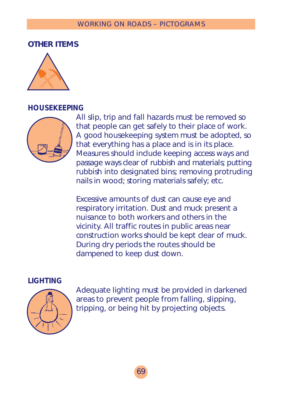# **OTHER ITEMS**



#### **HOUSEKEEPING**



All slip, trip and fall hazards must be removed so that people can get safely to their place of work. A good housekeeping system must be adopted, so that everything has a place and is in its place. Measures should include keeping access ways and passage ways clear of rubbish and materials; putting rubbish into designated bins; removing protruding nails in wood; storing materials safely; etc.

Excessive amounts of dust can cause eye and respiratory irritation. Dust and muck present a nuisance to both workers and others in the vicinity. All traffic routes in public areas near construction works should be kept clear of muck. During dry periods the routes should be dampened to keep dust down.

### **LIGHTING**



Adequate lighting must be provided in darkened areas to prevent people from falling, slipping, tripping, or being hit by projecting objects.

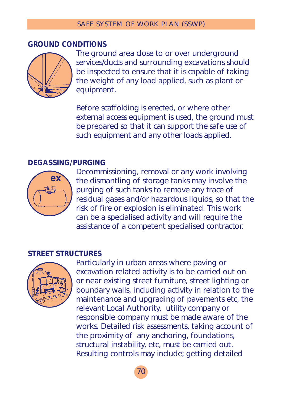### **GROUND CONDITIONS**



The ground area close to or over underground services/ducts and surrounding excavations should be inspected to ensure that it is capable of taking the weight of any load applied, such as plant or equipment.

Before scaffolding is erected, or where other external access equipment is used, the ground must be prepared so that it can support the safe use of such equipment and any other loads applied.

# **DEGASSING/PURGING**



Decommissioning, removal or any work involving the dismantling of storage tanks may involve the purging of such tanks to remove any trace of residual gases and/or hazardous liquids, so that the risk of fire or explosion is eliminated. This work can be a specialised activity and will require the assistance of a competent specialised contractor.

# **STREET STRUCTURES**



Particularly in urban areas where paving or excavation related activity is to be carried out on or near existing street furniture, street lighting or boundary walls, including activity in relation to the maintenance and upgrading of pavements etc, the relevant Local Authority, utility company or responsible company must be made aware of the works. Detailed risk assessments, taking account of the proximity of any anchoring, foundations, structural instability, etc, must be carried out. Resulting controls may include; getting detailed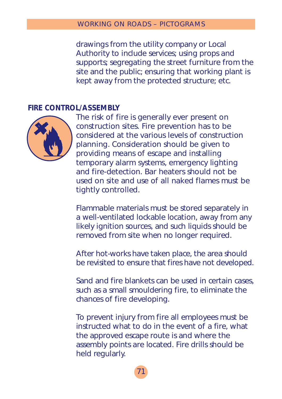drawings from the utility company or Local Authority to include services; using props and supports; segregating the street furniture from the site and the public; ensuring that working plant is kept away from the protected structure; etc.

### **FIRE CONTROL/ASSEMBLY**



The risk of fire is generally ever present on construction sites. Fire prevention has to be considered at the various levels of construction planning. Consideration should be given to providing means of escape and installing temporary alarm systems, emergency lighting and fire-detection. Bar heaters should not be used on site and use of all naked flames must be tightly controlled.

Flammable materials must be stored separately in a well-ventilated lockable location, away from any likely ignition sources, and such liquids should be removed from site when no longer required.

After hot-works have taken place, the area should be revisited to ensure that fires have not developed.

Sand and fire blankets can be used in certain cases, such as a small smouldering fire, to eliminate the chances of fire developing.

To prevent injury from fire all employees must be instructed what to do in the event of a fire, what the approved escape route is and where the assembly points are located. Fire drills should be held regularly.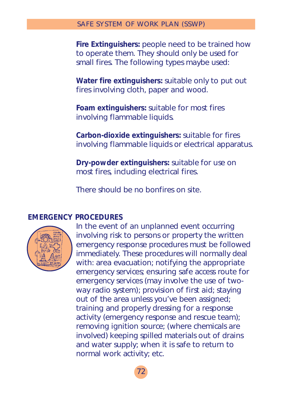**Fire Extinguishers:** people need to be trained how to operate them. They should only be used for small fires. The following types maybe used:

**Water fire extinguishers:** suitable only to put out fires involving cloth, paper and wood.

**Foam extinguishers:** suitable for most fires involving flammable liquids.

**Carbon-dioxide extinguishers:** suitable for fires involving flammable liquids or electrical apparatus.

**Dry-powder extinguishers:** suitable for use on most fires, including electrical fires.

There should be no bonfires on site.

#### **EMERGENCY PROCEDURES**



In the event of an unplanned event occurring involving risk to persons or property the written emergency response procedures must be followed immediately. These procedures will normally deal with: area evacuation; notifying the appropriate emergency services; ensuring safe access route for emergency services (may involve the use of twoway radio system); provision of first aid; staying out of the area unless you've been assigned; training and properly dressing for a response activity (emergency response and rescue team); removing ignition source; (where chemicals are involved) keeping spilled materials out of drains and water supply; when it is safe to return to normal work activity; etc.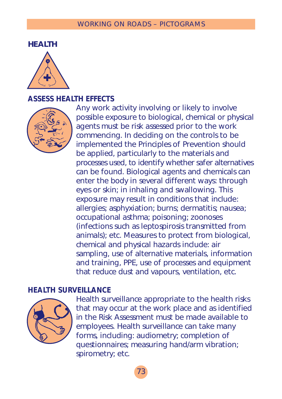#### **HEALTH**



#### **ASSESS HEALTH EFFECTS**



Any work activity involving or likely to involve possible exposure to biological, chemical or physical agents must be risk assessed prior to the work commencing. In deciding on the controls to be implemented the Principles of Prevention should be applied, particularly to the materials and processes used, to identify whether safer alternatives can be found. Biological agents and chemicals can enter the body in several different ways: through eyes or skin; in inhaling and swallowing. This exposure may result in conditions that include: allergies; asphyxiation; burns; dermatitis; nausea; occupational asthma; poisoning; zoonoses (infections such as leptospirosis transmitted from animals); etc. Measures to protect from biological, chemical and physical hazards include: air sampling, use of alternative materials, information and training, PPE, use of processes and equipment that reduce dust and vapours, ventilation, etc.

#### **HEALTH SURVEILLANCE**



Health surveillance appropriate to the health risks that may occur at the work place and as identified in the Risk Assessment must be made available to employees. Health surveillance can take many forms, including: audiometry; completion of questionnaires; measuring hand/arm vibration; spirometry; etc.

73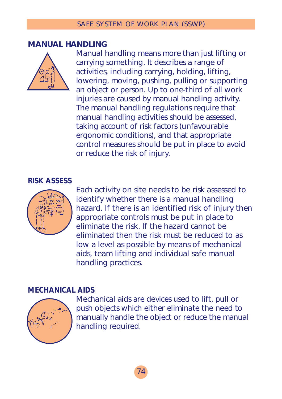#### **MANUAL HANDLING**



Manual handling means more than just lifting or carrying something. It describes a range of activities, including carrying, holding, lifting, lowering, moving, pushing, pulling or supporting an object or person. Up to one-third of all work injuries are caused by manual handling activity. The manual handling regulations require that manual handling activities should be assessed, taking account of risk factors (unfavourable ergonomic conditions), and that appropriate control measures should be put in place to avoid or reduce the risk of injury.

#### **RISK ASSESS**



Each activity on site needs to be risk assessed to identify whether there is a manual handling hazard. If there is an identified risk of injury then appropriate controls must be put in place to eliminate the risk. If the hazard cannot be eliminated then the risk must be reduced to as low a level as possible by means of mechanical aids, team lifting and individual safe manual handling practices.

#### **MECHANICAL AIDS**



Mechanical aids are devices used to lift, pull or push objects which either eliminate the need to manually handle the object or reduce the manual handling required.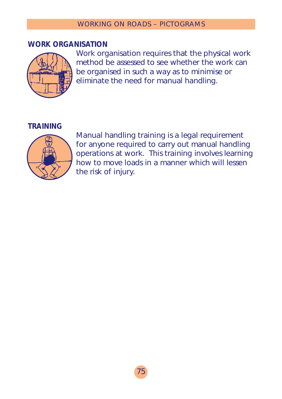#### **WORK ORGANISATION**



Work organisation requires that the physical work method be assessed to see whether the work can be organised in such a way as to minimise or eliminate the need for manual handling.

#### **TRAINING**



Manual handling training is a legal requirement for anyone required to carry out manual handling operations at work. This training involves learning how to move loads in a manner which will lessen the risk of injury.

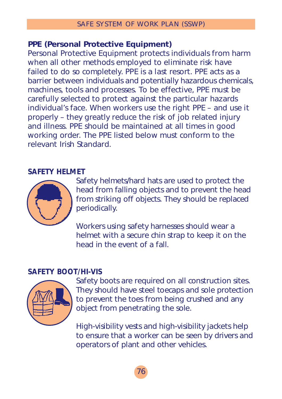#### **PPE (Personal Protective Equipment)**

Personal Protective Equipment protects individuals from harm when all other methods employed to eliminate risk have failed to do so completely. PPE is a last resort. PPE acts as a barrier between individuals and potentially hazardous chemicals, machines, tools and processes. To be effective, PPE must be carefully selected to protect against the particular hazards individual's face. When workers use the right PPE – and use it properly – they greatly reduce the risk of job related injury and illness. PPE should be maintained at all times in good working order. The PPE listed below must conform to the relevant Irish Standard.

#### **SAFETY HELMET**



Safety helmets/hard hats are used to protect the head from falling objects and to prevent the head from striking off objects. They should be replaced periodically.

Workers using safety harnesses should wear a helmet with a secure chin strap to keep it on the head in the event of a fall.

#### **SAFETY BOOT/HI-VIS**



Safety boots are required on all construction sites. They should have steel toecaps and sole protection to prevent the toes from being crushed and any object from penetrating the sole.

High-visibility vests and high-visibility jackets help to ensure that a worker can be seen by drivers and operators of plant and other vehicles.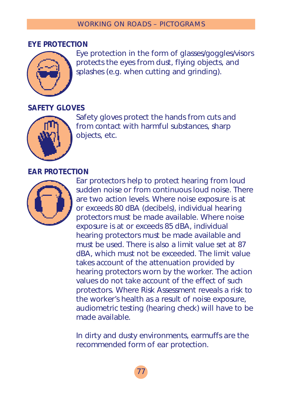#### **EYE PROTECTION**



Eye protection in the form of glasses/goggles/visors protects the eyes from dust, flying objects, and splashes (e.g. when cutting and grinding).

#### **SAFETY GLOVES**



Safety gloves protect the hands from cuts and from contact with harmful substances, sharp objects, etc.

#### **EAR PROTECTION**



Ear protectors help to protect hearing from loud sudden noise or from continuous loud noise. There are two action levels. Where noise exposure is at or exceeds 80 dBA (decibels), individual hearing protectors must be made available. Where noise exposure is at or exceeds 85 dBA, individual hearing protectors must be made available and must be used. There is also a limit value set at 87 dBA, which must not be exceeded. The limit value takes account of the attenuation provided by hearing protectors worn by the worker. The action values do not take account of the effect of such protectors. Where Risk Assessment reveals a risk to the worker's health as a result of noise exposure, audiometric testing (hearing check) will have to be made available.

In dirty and dusty environments, earmuffs are the recommended form of ear protection.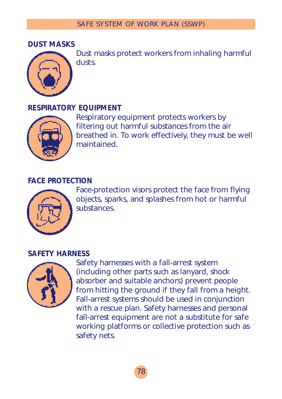#### **DUST MASKS**



Dust masks protect workers from inhaling harmful dusts.

#### **RESPIRATORY EQUIPMENT**



Respiratory equipment protects workers by filtering out harmful substances from the air breathed in. To work effectively, they must be well maintained.

#### **FACE PROTECTION**



Face-protection visors protect the face from flying objects, sparks, and splashes from hot or harmful substances.

#### **SAFETY HARNESS**



Safety harnesses with a fall-arrest system (including other parts such as lanyard, shock absorber and suitable anchors) prevent people from hitting the ground if they fall from a height. Fall-arrest systems should be used in conjunction with a rescue plan. Safety harnesses and personal fall-arrest equipment are not a substitute for safe working platforms or collective protection such as safety nets.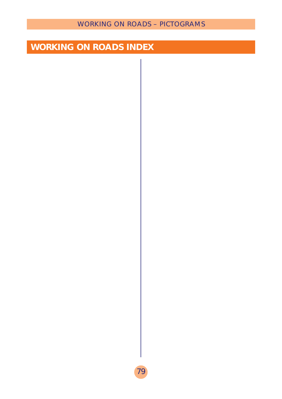## **WORKING ON ROADS INDEX**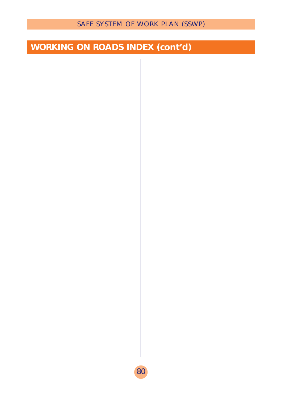# **WORKING ON ROADS INDEX (cont'd)**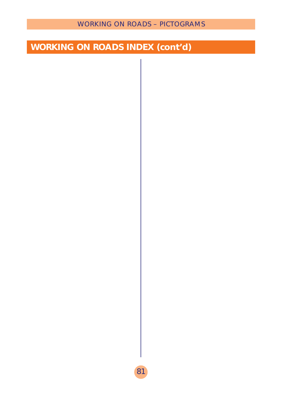# **WORKING ON ROADS INDEX (cont'd)**